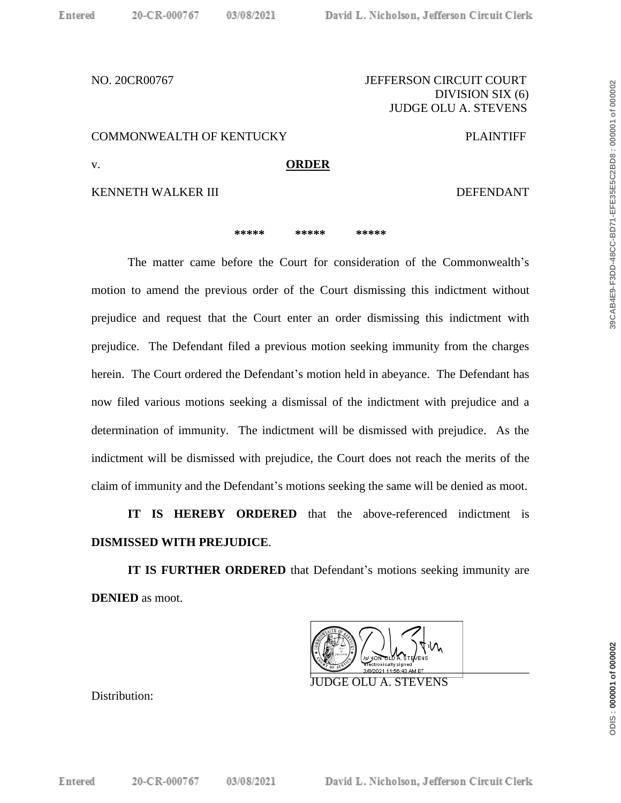## NO. 20CR00767 JEFFERSON CIRCUIT COURT DIVISION SIX (6) JUDGE OLU A. STEVENS

COMMONWEALTH OF KENTUCKY PLAINTIFF

v. **ORDER**

KENNETH WALKER III DEFENDANT

**\*\*\*\*\* \*\*\*\*\* \*\*\*\*\***

The matter came before the Court for consideration of the Commonwealth's motion to amend the previous order of the Court dismissing this indictment without prejudice and request that the Court enter an order dismissing this indictment with prejudice. The Defendant filed a previous motion seeking immunity from the charges herein. The Court ordered the Defendant's motion held in abeyance. The Defendant has now filed various motions seeking a dismissal of the indictment with prejudice and a determination of immunity. The indictment will be dismissed with prejudice. As the indictment will be dismissed with prejudice, the Court does not reach the merits of the claim of immunity and the Defendant's motions seeking the same will be denied as moot.

**IT IS HEREBY ORDERED** that the above-referenced indictment is **DISMISSED WITH PREJUDICE**.

**IT IS FURTHER ORDERED** that Defendant's motions seeking immunity are **DENIED** as moot.



JUDGE OLU A. STEVENS

Distribution:

ODIS: 000001 of 000002